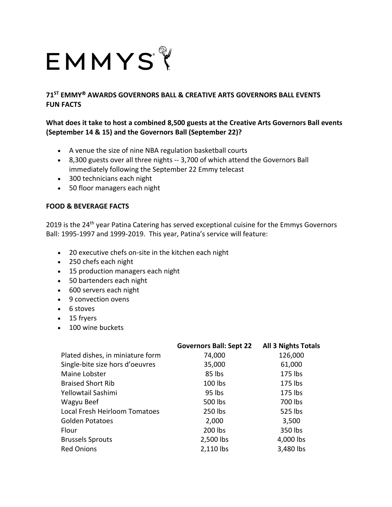## EMMYSY

**71ST EMMY AWARDS GOVERNORS BALL & CREATIVE ARTS GOVERNORS BALL EVENTS FUN FACTS**

## **What does it take to host a combined 8,500 guests at the Creative Arts Governors Ball events (September 14 & 15) and the Governors Ball (September 22)?**

- A venue the size of nine NBA regulation basketball courts
- 8,300 guests over all three nights -- 3,700 of which attend the Governors Ball immediately following the September 22 Emmy telecast
- 300 technicians each night
- 50 floor managers each night

## **FOOD & BEVERAGE FACTS**

2019 is the 24<sup>th</sup> year Patina Catering has served exceptional cuisine for the Emmys Governors Ball: 1995-1997 and 1999-2019. This year, Patina's service will feature:

- 20 executive chefs on-site in the kitchen each night
- 250 chefs each night
- 15 production managers each night
- 50 bartenders each night
- 600 servers each night
- 9 convection ovens
- 6 stoves
- 15 fryers
- 100 wine buckets

|                                  | <b>Governors Ball: Sept 22</b> | <b>All 3 Nights Totals</b> |
|----------------------------------|--------------------------------|----------------------------|
| Plated dishes, in miniature form | 74,000                         | 126,000                    |
| Single-bite size hors d'oeuvres  | 35,000                         | 61,000                     |
| Maine Lobster                    | 85 lbs                         | 175 lbs                    |
| <b>Braised Short Rib</b>         | 100 lbs                        | 175 lbs                    |
| Yellowtail Sashimi               | 95 lbs                         | 175 lbs                    |
| Wagyu Beef                       | 500 lbs                        | 700 lbs                    |
| Local Fresh Heirloom Tomatoes    | 250 lbs                        | 525 lbs                    |
| <b>Golden Potatoes</b>           | 2,000                          | 3,500                      |
| Flour                            | 200 lbs                        | 350 lbs                    |
| <b>Brussels Sprouts</b>          | 2,500 lbs                      | 4,000 lbs                  |
| <b>Red Onions</b>                | 2,110 lbs                      | 3,480 lbs                  |